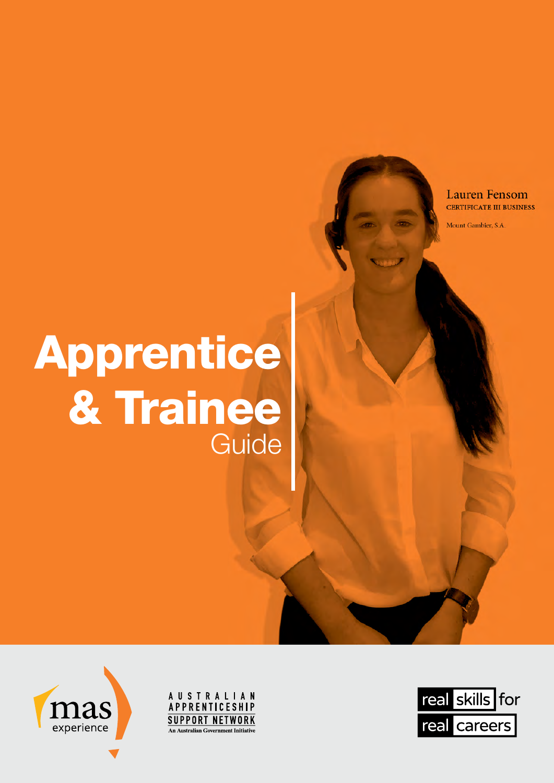### **Lauren Fensom CERTIFICATE III BUSINESS**

Mount Gambier, S.A.

# Apprentice & Trainee Guide

**AUSTRALIAN** APPRENTICESHIP **SUPPORT NETWORK An Australian Government Initiative** 





nas

experience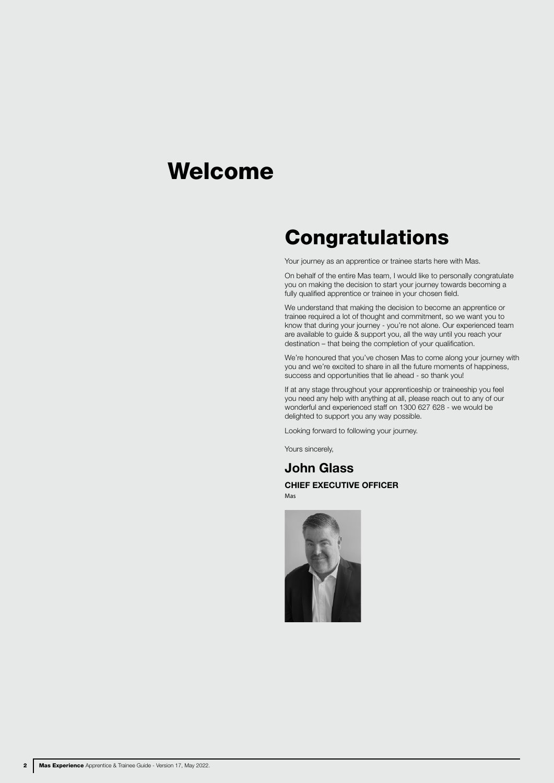## Welcome

## **Congratulations**

Your journey as an apprentice or trainee starts here with Mas.

On behalf of the entire Mas team, I would like to personally congratulate you on making the decision to start your journey towards becoming a fully qualified apprentice or trainee in your chosen field.

We understand that making the decision to become an apprentice or trainee required a lot of thought and commitment, so we want you to know that during your journey - you're not alone. Our experienced team are available to guide & support you, all the way until you reach your destination – that being the completion of your qualification.

We're honoured that you've chosen Mas to come along your journey with you and we're excited to share in all the future moments of happiness, success and opportunities that lie ahead - so thank you!

If at any stage throughout your apprenticeship or traineeship you feel you need any help with anything at all, please reach out to any of our wonderful and experienced staff on 1300 627 628 - we would be delighted to support you any way possible.

Looking forward to following your journey.

Yours sincerely,

John Glass CHIEF EXECUTIVE OFFICER

Mas

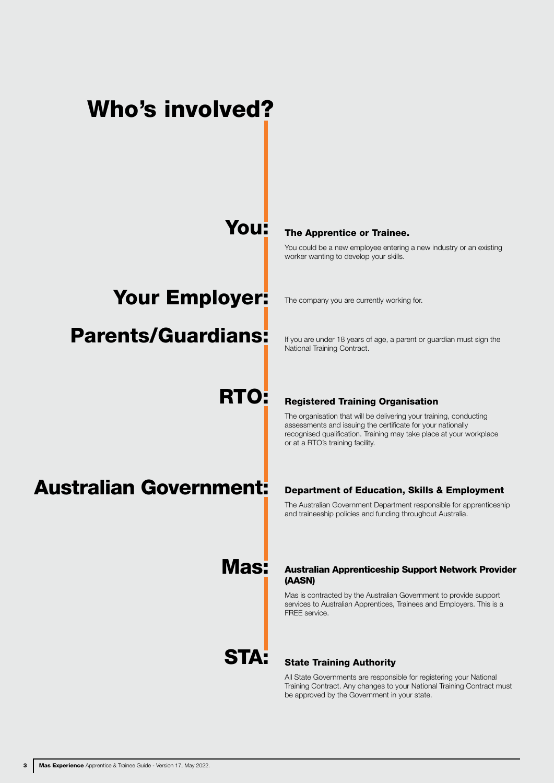## Who's involved?

### You:

### Your Employer:

### Parents/Guardians:

## RTO:

## Australian Government:

#### The Apprentice or Trainee.

You could be a new employee entering a new industry or an existing worker wanting to develop your skills.

The company you are currently working for.

If you are under 18 years of age, a parent or guardian must sign the National Training Contract.

### Registered Training Organisation

The organisation that will be delivering your training, conducting assessments and issuing the certificate for your nationally recognised qualification. Training may take place at your workplace or at a RTO's training facility.

### Department of Education, Skills & Employment

The Australian Government Department responsible for apprenticeship and traineeship policies and funding throughout Australia.

#### Australian Apprenticeship Support Network Provider (AASN)

Mas is contracted by the Australian Government to provide support services to Australian Apprentices, Trainees and Employers. This is a FREE service.

## STA:

Mas:

#### State Training Authority

All State Governments are responsible for registering your National Training Contract. Any changes to your National Training Contract must be approved by the Government in your state.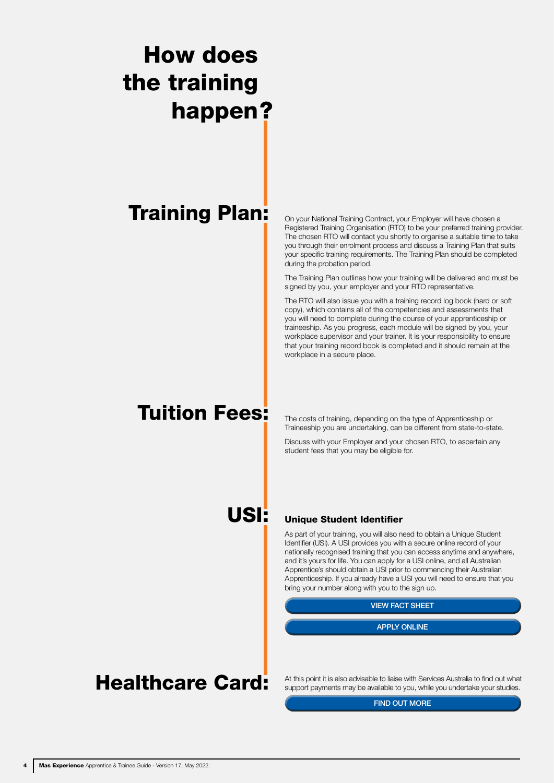# happen? How does the training

## Training Plan:

On your National Training Contract, your Employer will have chosen a Registered Training Organisation (RTO) to be your preferred training provider. The chosen RTO will contact you shortly to organise a suitable time to take you through their enrolment process and discuss a Training Plan that suits your specific training requirements. The Training Plan should be completed during the probation period.

The Training Plan outlines how your training will be delivered and must be signed by you, your employer and your RTO representative.

The RTO will also issue you with a training record log book (hard or soft copy), which contains all of the competencies and assessments that you will need to complete during the course of your apprenticeship or traineeship. As you progress, each module will be signed by you, your workplace supervisor and your trainer. It is your responsibility to ensure that your training record book is completed and it should remain at the workplace in a secure place.

## Tuition Fees:

The costs of training, depending on the type of Apprenticeship or Traineeship you are undertaking, can be different from state-to-state.

Discuss with your Employer and your chosen RTO, to ascertain any student fees that you may be eligible for.

USI:

### Unique Student Identifier

As part of your training, you will also need to obtain a Unique Student Identifier (USI). A USI provides you with a secure online record of your nationally recognised training that you can access anytime and anywhere, and it's yours for life. You can apply for a USI online, and all Australian Apprentice's should obtain a USI prior to commencing their Australian Apprenticeship. If you already have a USI you will need to ensure that you bring your number along with you to the sign up.

# VIEW FACT SHEET<br>APPLY ONLINE

### Healthcare Card:

At this point it is also advisable to liaise with Services Australia to find out what support payments may be available to you, while you undertake your studies.

FIND OUT MORE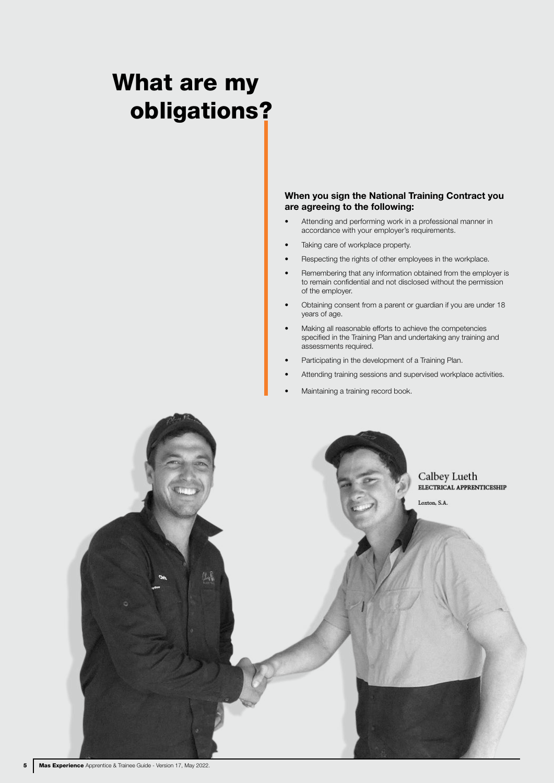## What are my obligations ?

#### When you sign the National Training Contract you are agreeing to the following:

- Attending and performing work in a professional manner in accordance with your employer's requirements.
- Taking care of workplace property.
- Respecting the rights of other employees in the workplace.
- Remembering that any information obtained from the employer is to remain confidential and not disclosed without the permission of the employer.
- Obtaining consent from a parent or guardian if you are under 18 years of age.
- Making all reasonable efforts to achieve the competencies specified in the Training Plan and undertaking any training and assessments required.
- Participating in the development of a Training Plan.
- Attending training sessions and supervised workplace activities.
- Maintaining a training record book.

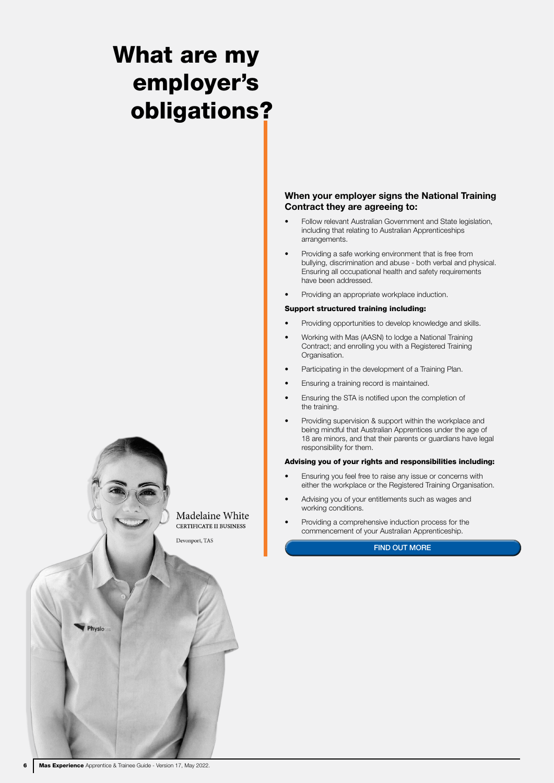## What are my employer's obligations ?

Madelaine White CERTIFICATE II BUSINESS

Devonport, TAS

#### When your employer signs the National Training Contract they are agreeing to:

- Follow relevant Australian Government and State legislation, including that relating to Australian Apprenticeships arrangements.
- Providing a safe working environment that is free from bullying, discrimination and abuse - both verbal and physical. Ensuring all occupational health and safety requirements have been addressed.
- Providing an appropriate workplace induction.

#### Support structured training including:

- Providing opportunities to develop knowledge and skills.
- Working with Mas (AASN) to lodge a National Training Contract; and enrolling you with a Registered Training Organisation.
- Participating in the development of a Training Plan.
- Ensuring a training record is maintained.
- Ensuring the STA is notified upon the completion of the training.
- Providing supervision & support within the workplace and being mindful that Australian Apprentices under the age of 18 are minors, and that their parents or guardians have legal responsibility for them.

#### Advising you of your rights and responsibilities including:

- Ensuring you feel free to raise any issue or concerns with either the workplace or the Registered Training Organisation.
- Advising you of your entitlements such as wages and working conditions.
- Providing a comprehensive induction process for the commencement of your Australian Apprenticeship.

#### FIND OUT MORE

Physio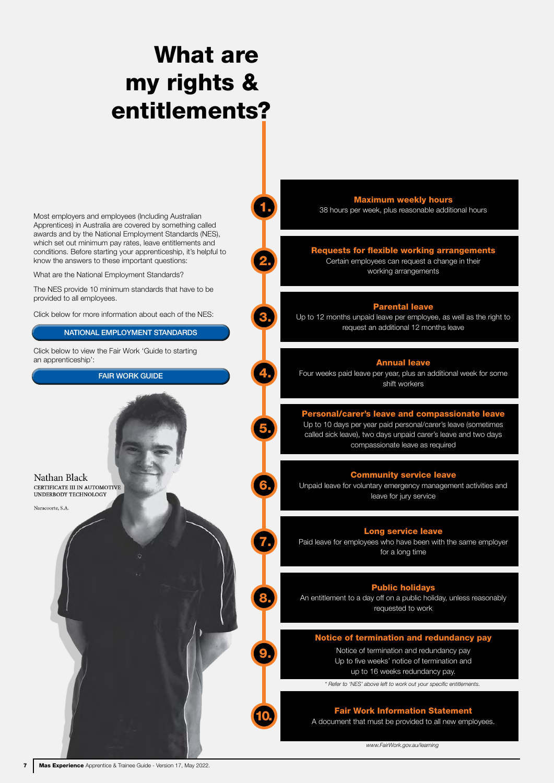## entitlements? What are my rights &

1.

2.

3.

4.

5.

6.

7.

8.

9.

10.

Most employers and employees (Including Australian Apprentices) in Australia are covered by something called awards and by the National Employment Standards (NES), which set out minimum pay rates, leave entitlements and conditions. Before starting your apprenticeship, it's helpful to know the answers to these important questions:

What are the National Employment Standards?

The NES provide 10 minimum standards that have to be provided to all employees.

Click below for more information about each of the NES:

Click below to view the Fair Work 'Guide to starting an apprenticeship': NATIONAL EMPLOYMENT STANDARDS<br>w to view the Fair Work 'Guide to starting<br>ticeship':<br>FAIR WORK GUIDE

Nathan Black CERTIFICATE III IN AUTOMOTIVE UNDERBODY TECHNOLOGY

Naracoorte, S.A.

Maximum weekly hours

38 hours per week, plus reasonable additional hours

#### Requests for flexible working arrangements

Certain employees can request a change in their working arrangements

#### Parental leave

Up to 12 months unpaid leave per employee, as well as the right to request an additional 12 months leave

#### Annual leave

Four weeks paid leave per year, plus an additional week for some shift workers

Personal/carer's leave and compassionate leave Up to 10 days per year paid personal/carer's leave (sometimes called sick leave), two days unpaid carer's leave and two days compassionate leave as required

### Community service leave

Unpaid leave for voluntary emergency management activities and leave for jury service

#### Long service leave

Paid leave for employees who have been with the same employer for a long time

#### Public holidays

An entitlement to a day off on a public holiday, unless reasonably requested to work

#### Notice of termination and redundancy pay

Notice of termination and redundancy pay Up to five weeks' notice of termination and up to 16 weeks redundancy pay.

*\* Refer to 'NES' above left to work out your specific entitlements.*

#### Fair Work Information Statement

A document that must be provided to all new employees.

*www.FairWork.gov.au/learning*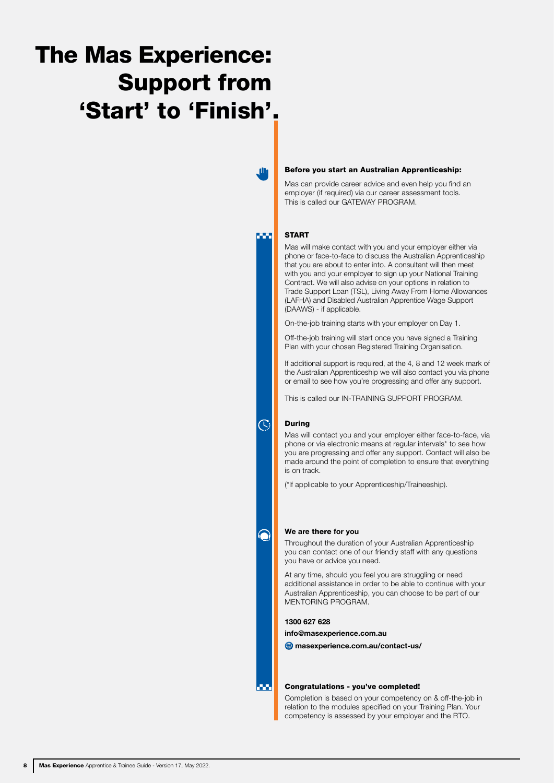## The Mas Experience: Support from 'Start' to 'Finish'.

**M** 

**TER** 

#### Before you start an Australian Apprenticeship:

Mas can provide career advice and even help you find an employer (if required) via our career assessment tools. This is called our GATEWAY PROGRAM.

#### START

Mas will make contact with you and your employer either via phone or face-to-face to discuss the Australian Apprenticeship that you are about to enter into. A consultant will then meet with you and your employer to sign up your National Training Contract. We will also advise on your options in relation to Trade Support Loan (TSL), Living Away From Home Allowances (LAFHA) and Disabled Australian Apprentice Wage Support (DAAWS) - if applicable.

On-the-job training starts with your employer on Day 1.

Off-the-job training will start once you have signed a Training Plan with your chosen Registered Training Organisation.

If additional support is required, at the 4, 8 and 12 week mark of the Australian Apprenticeship we will also contact you via phone or email to see how you're progressing and offer any support.

This is called our IN-TRAINING SUPPORT PROGRAM.

#### During

 $\overline{C}$ 

Mas will contact you and your employer either face-to-face, via phone or via electronic means at regular intervals\* to see how you are progressing and offer any support. Contact will also be made around the point of completion to ensure that everything is on track.

(\*If applicable to your Apprenticeship/Traineeship).

#### We are there for you

Throughout the duration of your Australian Apprenticeship you can contact one of our friendly staff with any questions you have or advice you need.

At any time, should you feel you are struggling or need additional assistance in order to be able to continue with your Australian Apprenticeship, you can choose to be part of our MENTORING PROGRAM.

#### 1300 627 628

[info@masexperience.com.au](mailto:info%40masexperience.com.au%20?subject=)

masexperience.com.au/contact-us/

#### Congratulations - you've completed!

Completion is based on your competency on & off-the-job in relation to the modules specified on your Training Plan. Your competency is assessed by your employer and the RTO.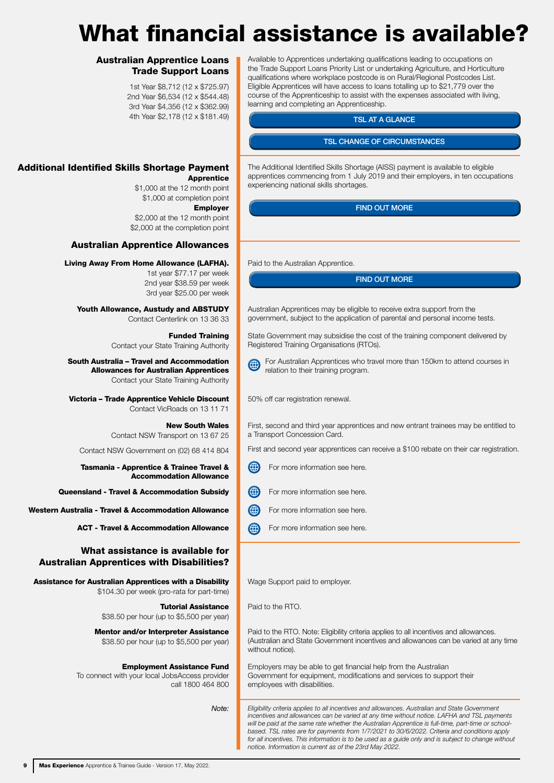## What financial assistance is available?

#### Australian Apprentice Loans Trade Support Loans

1st Year \$8,712 (12 x \$725.97) 2nd Year \$6,534 (12 x \$544.48) 3rd Year \$4,356 (12 x \$362.99) 4th Year \$2,178 (12 x \$181.49)

### Additional Identified Skills Shortage Payment

Apprentice \$1,000 at the 12 month point \$1,000 at completion point Employer

\$2,000 at the 12 month point \$2,000 at the completion point

### Australian Apprentice Allowances

#### Living Away From Home Allowance (LAFHA).

1st year \$77.17 per week 2nd year \$38.59 per week 3rd year \$25.00 per week

Youth Allowance, Austudy and ABSTUDY Contact Centerlink on 13 36 33

> Funded Training Contact your State Training Authority

#### South Australia – Travel and Accommodation Allowances for Australian Apprentices Contact your State Training Authority

Victoria – Trade Apprentice Vehicle Discount Contact VicRoads on 13 11 71

> New South Wales Contact NSW Transport on 13 67 25

Contact NSW Government on (02) 68 414 804

Tasmania - Apprentice & Trainee Travel & Accommodation Allowance

Queensland - Travel & Accommodation Subsidy

Western Australia - Travel & Accommodation Allowance

ACT - Travel & Accommodation Allowance

#### What assistance is available for Australian Apprentices with Disabilities?

Assistance for Australian Apprentices with a Disability \$104.30 per week (pro-rata for part-time)

> Tutorial Assistance \$38.50 per hour (up to \$5,500 per year)

Mentor and/or Interpreter Assistance \$38.50 per hour (up to \$5,500 per year)

#### Employment Assistance Fund

To connect with your local JobsAccess provider call 1800 464 800

*Note:*

Available to Apprentices undertaking qualifications leading to occupations on the Trade Support Loans Priority List or undertaking Agriculture, and Horticulture qualifications where workplace postcode is on Rural/Regional Postcodes List. Eligible Apprentices will have access to loans totalling up to \$21,779 over the course of the Apprenticeship to assist with the expenses associated with living, learning and completing an Apprenticeship.

#### TSL AT A GLANCE

The Additional Identified Skills Shortage (AISS) payment is available to eligible apprentices commencing from 1 July 2019 and their employers, in ten occupations experiencing national skills shortages. TSL CHANGE OF CIRCUMSTANCES<br>
I Skills Shortage (AISS) payment is ave<br>
ug from 1 July 2019 and their employe<br>
ulls shortages.<br>
FIND OUT MORE<br>
FIND OUT MORE

Paid to the Australian Apprentice.

Australian Apprentices may be eligible to receive extra support from the government, subject to the application of parental and personal income tests.

State Government may subsidise the cost of the training component delivered by Registered Training Organisations (RTOs).

For Australian Apprentices who travel more than 150km to attend courses in relation to their training program.

50% off car registration renewal.

First, second and third year apprentices and new entrant trainees may be entitled to a Transport Concession Card.

First and second year apprentices can receive a \$100 rebate on their car registration.

- For more information see here.
- (⊕ For more information see here.
- For more information see here.
- For more information see here.

Wage Support paid to employer.

Paid to the RTO.

Paid to the RTO. Note: Eligibility criteria applies to all incentives and allowances. (Australian and State Government incentives and allowances can be varied at any time without notice).

Employers may be able to get financial help from the Australian Government for equipment, modifications and services to support their employees with disabilities.

*Eligibility criteria applies to all incentives and allowances. Australian and State Government incentives and allowances can be varied at any time without notice. LAFHA and TSL payments will be paid at the same rate whether the Australian Apprentice is full-time, part-time or schoolbased. TSL rates are for payments from 1/7/2021 to 30/6/2022. Criteria and conditions apply*  for all incentives. This information is to be used as a guide only and is subject to change without *notice. Information is current as of the 23rd May 2022.*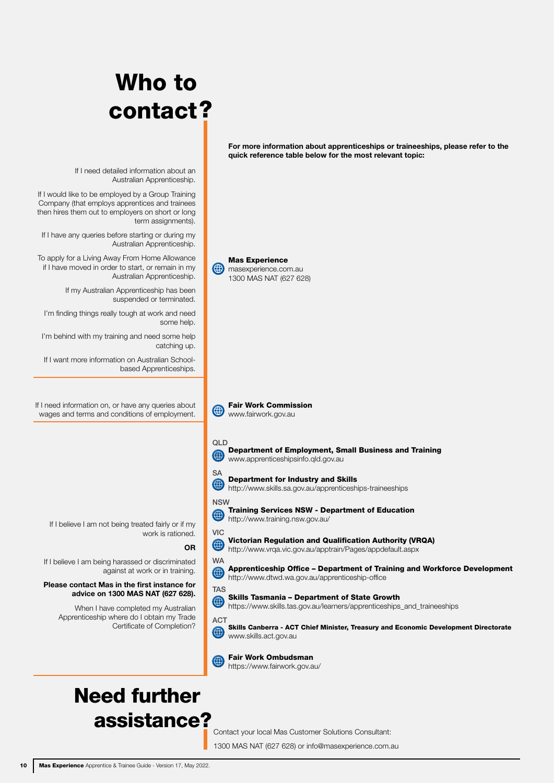# ? contact Who to

If I need detailed information about an Australian Apprenticeship.

If I would like to be employed by a Group Training Company (that employs apprentices and trainees then hires them out to employers on short or long term assignments).

If I have any queries before starting or during my Australian Apprenticeship.

To apply for a Living Away From Home Allowance if I have moved in order to start, or remain in my Australian Apprenticeship.

> If my Australian Apprenticeship has been suspended or terminated.

I'm finding things really tough at work and need

I'm behind with my training and need some help

If I want more information on Australian Schoolbased Apprenticeships.

If I need information on, or have any queries about wages and terms and conditions of employment.

If I believe I am not being treated fairly or if my work is rationed.

If I believe I am being harassed or discriminated against at work or in training.

#### Please contact Mas in the first instance for advice on 1300 MAS NAT (627 628).

When I have completed my Australian Apprenticeship where do I obtain my Trade Certificate of Completion?



For more information about apprenticeships or traineeships, please refer to the

quick reference table below for the most relevant topic:

Contact your local Mas Customer Solutions Consultant: 1300 MAS NAT (627 628) or info@masexperience.com.au

assistance?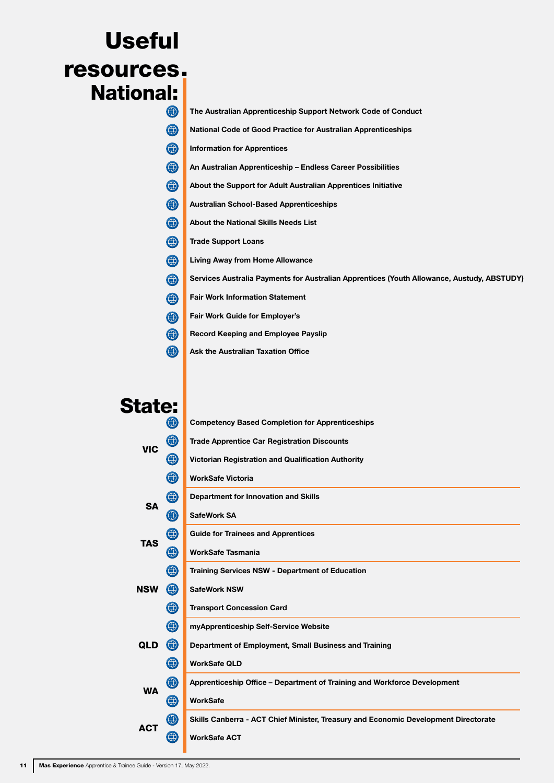# . resources Useful National:

| (₩)         | The Australian Apprenticeship Support Network Code of Conduct                              |
|-------------|--------------------------------------------------------------------------------------------|
| $\bigoplus$ | National Code of Good Practice for Australian Apprenticeships                              |
| $\bigoplus$ | <b>Information for Apprentices</b>                                                         |
| $\bigoplus$ | An Australian Apprenticeship - Endless Career Possibilities                                |
| $\bigoplus$ | About the Support for Adult Australian Apprentices Initiative                              |
| $\bigoplus$ | <b>Australian School-Based Apprenticeships</b>                                             |
| $\bigoplus$ | About the National Skills Needs List                                                       |
| $\bigoplus$ | <b>Trade Support Loans</b>                                                                 |
| $\bigoplus$ | <b>Living Away from Home Allowance</b>                                                     |
| $\bigoplus$ | Services Australia Payments for Australian Apprentices (Youth Allowance, Austudy, ABSTUDY) |
| $\bigoplus$ | <b>Fair Work Information Statement</b>                                                     |
| $\bigoplus$ | <b>Fair Work Guide for Employer's</b>                                                      |
| $\bigoplus$ | <b>Record Keeping and Employee Payslip</b>                                                 |
| $\bigoplus$ | <b>Ask the Australian Taxation Office</b>                                                  |
|             |                                                                                            |

The Australian Apprenticeship Support Network Code of Conduct

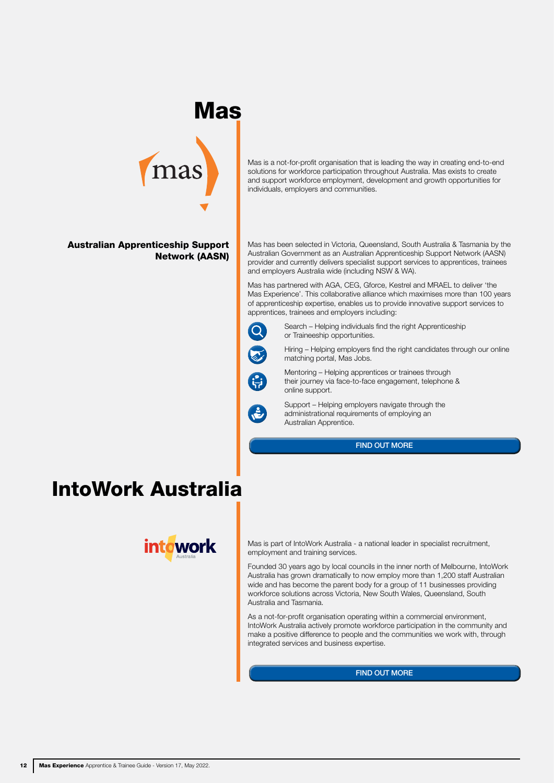### Mas



#### Australian Apprenticeship Support Network (AASN)

Mas is a not-for-profit organisation that is leading the way in creating end-to-end solutions for workforce participation throughout Australia. Mas exists to create and support workforce employment, development and growth opportunities for individuals, employers and communities.

Mas has been selected in Victoria, Queensland, South Australia & Tasmania by the Australian Government as an Australian Apprenticeship Support Network (AASN) provider and currently delivers specialist support services to apprentices, trainees and employers Australia wide (including NSW & WA).

Mas has partnered with AGA, CEG, Gforce, Kestrel and MRAEL to deliver 'the Mas Experience'. This collaborative alliance which maximises more than 100 years of apprenticeship expertise, enables us to provide innovative support services to apprentices, trainees and employers including:



Search – Helping individuals find the right Apprenticeship or Traineeship opportunities.

Hiring – Helping employers find the right candidates through our online matching portal, Mas Jobs.



Mentoring – Helping apprentices or trainees through their journey via face-to-face engagement, telephone & online support.



Support – Helping employers navigate through the administrational requirements of employing an Australian Apprentice.

### IntoWork Australia



Mas is part of IntoWork Australia - a national leader in specialist recruitment, employment and training services.

Founded 30 years ago by local councils in the inner north of Melbourne, IntoWork Australia has grown dramatically to now employ more than 1,200 staff Australian wide and has become the parent body for a group of 11 businesses providing workforce solutions across Victoria, New South Wales, Queensland, South Australia and Tasmania. FIND OUT MORE<br>
- a national leader<br>
-<br>
- uncils in the inner<br>
body for a group of<br>
- body for a group of<br>
- and the comm<br>
-<br>
sexpertise.<br>
FIND OUT MORE

As a not-for-profit organisation operating within a commercial environment, IntoWork Australia actively promote workforce participation in the community and make a positive difference to people and the communities we work with, through integrated services and business expertise.